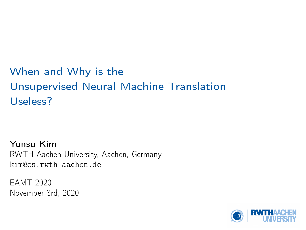# When and Why is the Unsupervised Neural Machine Translation Useless?

Yunsu Kim RWTH Aachen University, Aachen, Germany kim@cs.rwth-aachen.de

EAMT 2020 November 3rd, 2020

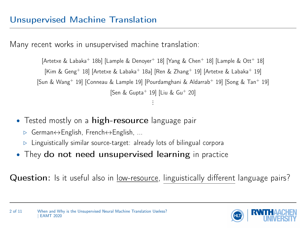<span id="page-1-0"></span>Many recent works in unsupervised machine translation:

[\[Artetxe & Labaka](#page-11-0)<sup>+</sup> 18b] [\[Lample & Denoyer](#page-11-1)<sup>+</sup> 18] [\[Yang & Chen](#page-12-0)<sup>+</sup> 18] [\[Lample & Ott](#page-11-2)<sup>+</sup> 18] [\[Kim & Geng](#page-11-3)<sup>+</sup> 18] [\[Artetxe & Labaka](#page-11-5)<sup>+</sup> 18a] [\[Ren & Zhang](#page-12-1)<sup>+</sup> 19] [Artetxe & Labaka<sup>+</sup> 19] [\[Sun & Wang](#page-12-2)<sup>+</sup> 19] [\[Conneau & Lample 19\]](#page-11-6) [\[Pourdamghani & Aldarrab](#page-11-7)<sup>+</sup> 19] [\[Song & Tan](#page-12-3)<sup>+</sup> 19] [\[Sen & Gupta](#page-12-4)<sup>+</sup> 19] [\[Liu & Gu](#page-11-8)<sup>+</sup> 20] ...

- Tested mostly on a high-resource language pair
	- . German↔English, French↔English, ...
	- $\triangleright$  Linguistically similar source-target: already lots of bilingual corpora
- They do not need unsupervised learning in practice

Question: Is it useful also in low-resource, linguistically different language pairs?

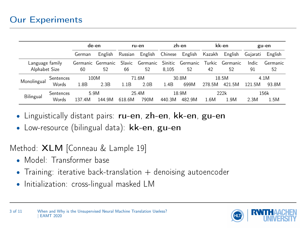<span id="page-2-0"></span>

|                 |           |        | de-en             |         | ru-en    |         | zh-en    |        | kk-en    |          | gu-en    |
|-----------------|-----------|--------|-------------------|---------|----------|---------|----------|--------|----------|----------|----------|
|                 |           | German | English           | Russian | English  | Chinese | English  | Kazakh | English  | Gujarati | English  |
| Language family |           |        | Germanic Germanic | Slavic  | Germanic | Sinitic | Germanic | Turkic | Germanic | Indic    | Germanic |
| Alphabet Size   |           | 60     | 52                | 66      | 52       | 8,105   | 52       | 42     | 52       | 91       | 52       |
| Monolingual     | Sentences |        | 100M              |         | 71.6M    |         | 30.8M    |        | 18.5M    |          | 4.1M     |
|                 | Words     | 1.8B   | 2.3B              | 1.1B    | 2.0B     | 1.4B    | 699M     | 278.5M | 421.5M   | 121.5M   | 93.8M    |
| Bilingual       | Sentences |        | 5.9M              |         | 25.4M    |         | 18.9M    |        | 222k     |          | 156k     |
|                 | Words     | 137.4M | 144.9M            | 618.6M  | 790M     | 440.3M  | 482.9M   | 1.6M   | 1.9M     | 2.3M     | 1.5M     |

- Linguistically distant pairs: ru-en, zh-en, kk-en, gu-en
- Low-resource (bilingual data): kk-en, gu-en

Method: XLM [\[Conneau & Lample 19\]](#page-11-6)

- Model: Transformer base
- Training: iterative back-translation  $+$  denoising autoencoder
- Initialization: cross-lingual masked LM

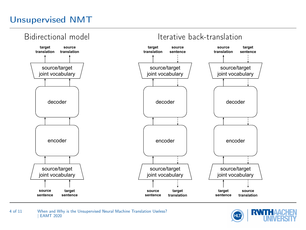## <span id="page-3-0"></span>[Unsupervised NMT](#page-3-0)



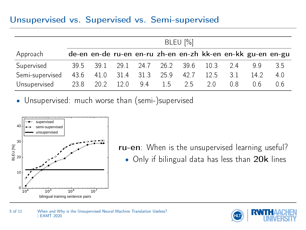### <span id="page-4-0"></span>[Unsupervised vs. Supervised vs. Semi-supervised](#page-4-0)

|                 | BLEU $[\%]$ |                                    |      |      |      |      |      |     |                                                             |     |
|-----------------|-------------|------------------------------------|------|------|------|------|------|-----|-------------------------------------------------------------|-----|
| Approach        |             |                                    |      |      |      |      |      |     | de-en en-de ru-en en-ru zh-en en-zh kk-en en-kk gu-en en-gu |     |
| Supervised      |             | 39.5 39.1 29.1 24.7 26.2 39.6 10.3 |      |      |      |      |      | 24  | 99                                                          | 3.5 |
| Semi-supervised |             | 43.6 41.0                          | 31.4 | 31.3 | 25.9 | 42.7 | 12.5 | 3.1 | 14.2                                                        | 4.0 |
| Unsupervised    |             | 23.8 20.2 12.0                     |      | 9.4  | 1.5  | 25   | 20   | 0 R | 06                                                          | 0.6 |

• Unsupervised: much worse than (semi-)supervised



ru-en: When is the unsupervised learning useful? • Only if bilingual data has less than 20k lines

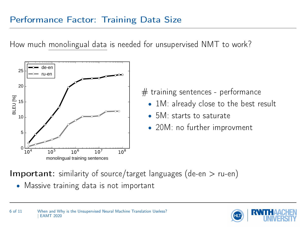## <span id="page-5-0"></span>[Performance Factor: Training Data Size](#page-5-0)

How much monolingual data is needed for unsupervised NMT to work?



 $#$  training sentences - performance

- 1M: already close to the best result
- 5M: starts to saturate
- 20M: no further improvment

**Important:** similarity of source/target languages (de-en  $>$  ru-en)

• Massive training data is not important

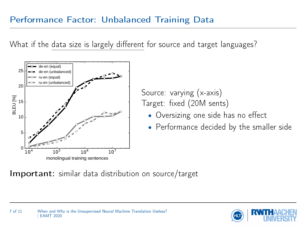## <span id="page-6-0"></span>[Performance Factor: Unbalanced Training Data](#page-6-0)

What if the data size is largely different for source and target languages?



Source: varying (x-axis) Target: fixed (20M sents)

- Oversizing one side has no effect
- Performance decided by the smaller side

#### **Important:** similar data distribution on source/target

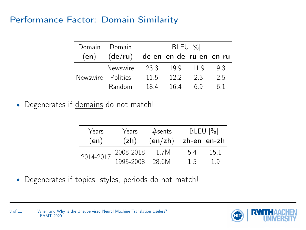<span id="page-7-0"></span>

| Domain Domain     |                                          | BLEU [%] |            |     |    |  |  |
|-------------------|------------------------------------------|----------|------------|-----|----|--|--|
|                   | $(en)$ $(de/ru)$ de-en en-de ru-en en-ru |          |            |     |    |  |  |
|                   | Newswire 23.3 19.9 11.9                  |          |            |     | 93 |  |  |
| Newswire Politics |                                          | 11.5     | 12.2       | 2.3 | 25 |  |  |
|                   | Random                                   |          | 184 164 69 |     | 61 |  |  |

• Degenerates if domains do not match!

| Years     | Years     | #sents               |    | BLEU [%] |  |  |
|-----------|-----------|----------------------|----|----------|--|--|
| (en)      | (zh)      | $(enzh)$ zh-en en-zh |    |          |  |  |
| 2014-2017 | 2008-2018 | 1.7M                 | 54 | 15.1     |  |  |
|           | 1995-2008 | - 28.6M              | 15 | 1 Q      |  |  |

• Degenerates if topics, styles, periods do not match!



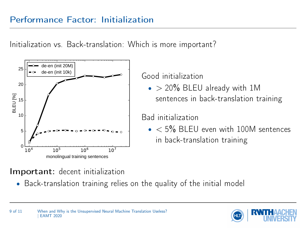<span id="page-8-0"></span>Initialization vs. Back-translation: Which is more important?



Good initialization

 $\bullet$  > 20% BLEU already with 1M sentences in back-translation training

### Bad initialization

 $\bullet$  < 5% BLEU even with 100M sentences in back-translation training

## Important: decent initialization

• Back-translation training relies on the quality of the initial model

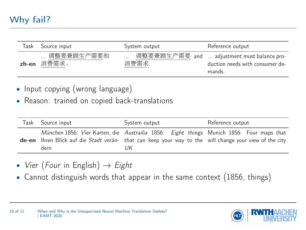<span id="page-9-0"></span>

| Task | Source input              | System output    | Reference output                                                                         |
|------|---------------------------|------------------|------------------------------------------------------------------------------------------|
|      | 调整要兼顾生产需要和<br>zh-en 消费需求。 | $\cdots$<br>消费需求 | 调整要兼顾生产需要 and  adjustment must balance pro-<br>duction needs with consumer de-<br>mands. |

- Input copying (wrong language)
- Reason: trained on copied back-translations

| Task | Source input | System output                                                                                                                                                                                                    | Reference output |
|------|--------------|------------------------------------------------------------------------------------------------------------------------------------------------------------------------------------------------------------------|------------------|
|      | dern         | München 1856: Vier Karten, die Austrailia 1856: Eight things Munich 1856: Four maps that<br><b>de-en</b> Ihren Blick auf die Stadt verän- that can keep your way to the will change your view of the city<br>IJК |                  |

- Vier (Four in English)  $\rightarrow$  Eight
- Cannot distinguish words that appear in the same context (1856, things)

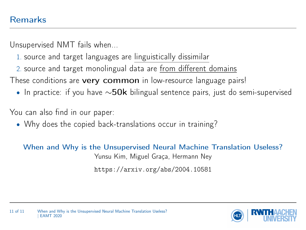<span id="page-10-0"></span>Unsupervised NMT fails when...

- 1. source and target languages are linguistically dissimilar
- 2. source and target monolingual data are from different domains
- These conditions are very common in low-resource language pairs!
	- In practice: if you have  $\sim$ 50k bilingual sentence pairs, just do semi-supervised

You can also find in our paper:

• Why does the copied back-translations occur in training?

When and Why is the Unsupervised Neural Machine Translation Useless? Yunsu Kim, Miguel Graça, Hermann Ney

<https://arxiv.org/abs/2004.10581>

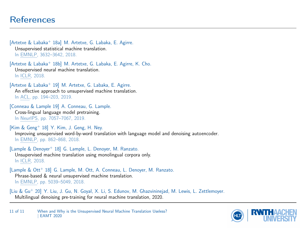#### <span id="page-11-9"></span>**[References](#page-11-9)**

<span id="page-11-4"></span>[Artetxe & Labaka<sup>+</sup> 18a] M. Artetxe, G. Labaka, E. Agirre. Unsupervised statistical machine translation. In EMNLP, 3632–3642, 2018.

<span id="page-11-0"></span>[Artetxe & Labaka<sup>+</sup> 18b] M. Artetxe, G. Labaka, E. Agirre, K. Cho. Unsupervised neural machine translation. In ICLR, 2018.

<span id="page-11-5"></span>[Artetxe & Labaka<sup>+</sup> 19] M. Artetxe, G. Labaka, E. Agirre. An effective approach to unsupervised machine translation. In ACL, pp. 194–203, 2019.

<span id="page-11-6"></span>[Conneau & Lample 19] A. Conneau, G. Lample. Cross-lingual language model pretraining. In NeurIPS, pp. 7057–7067, 2019.

<span id="page-11-3"></span> $[Kim \& Geng<sup>+</sup> 18]$  Y. Kim, J. Geng, H. Ney. Improving unsupervised word-by-word translation with language model and denoising autoencoder. In EMNLP, pp. 862–868, 2018.

<span id="page-11-1"></span>[Lample & Denoyer<sup>+</sup> 18] G. Lample, L. Denoyer, M. Ranzato. Unsupervised machine translation using monolingual corpora only. In ICLR, 2018.

<span id="page-11-2"></span>[Lample & Ott<sup>+</sup> 18] G. Lample, M. Ott, A. Conneau, L. Denoyer, M. Ranzato. Phrase-based & neural unsupervised machine translation. In EMNLP, pp. 5039–5049, 2018.

<span id="page-11-8"></span><span id="page-11-7"></span>[Liu & Gu<sup>+</sup> 20] Y. Liu, J. Gu, N. Goyal, X. Li, S. Edunov, M. Ghazvininejad, M. Lewis, L. Zettlemoyer. Multilingual denoising pre-training for neural machine translation, 2020.